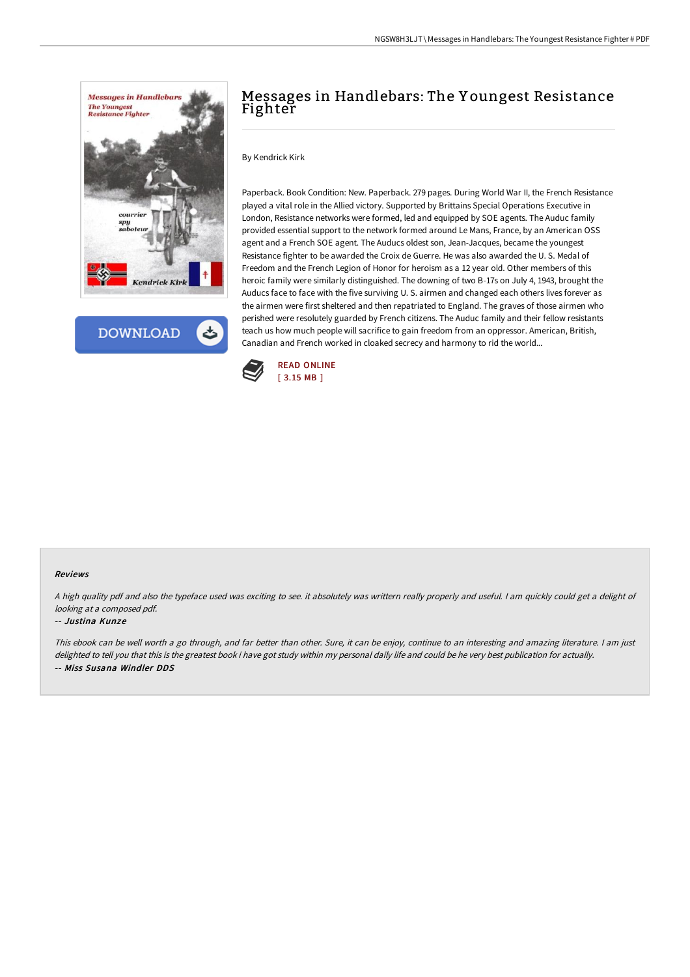

**DOWNLOAD** 

# Messages in Handlebars: The Y oungest Resistance Fighter

By Kendrick Kirk

Paperback. Book Condition: New. Paperback. 279 pages. During World War II, the French Resistance played a vital role in the Allied victory. Supported by Brittains Special Operations Executive in London, Resistance networks were formed, led and equipped by SOE agents. The Auduc family provided essential support to the network formed around Le Mans, France, by an American OSS agent and a French SOE agent. The Auducs oldest son, Jean-Jacques, became the youngest Resistance fighter to be awarded the Croix de Guerre. He was also awarded the U. S. Medal of Freedom and the French Legion of Honor for heroism as a 12 year old. Other members of this heroic family were similarly distinguished. The downing of two B-17s on July 4, 1943, brought the Auducs face to face with the five surviving U. S. airmen and changed each others lives forever as the airmen were first sheltered and then repatriated to England. The graves of those airmen who perished were resolutely guarded by French citizens. The Auduc family and their fellow resistants teach us how much people will sacrifice to gain freedom from an oppressor. American, British, Canadian and French worked in cloaked secrecy and harmony to rid the world...



#### Reviews

<sup>A</sup> high quality pdf and also the typeface used was exciting to see. it absolutely was writtern really properly and useful. <sup>I</sup> am quickly could get <sup>a</sup> delight of looking at <sup>a</sup> composed pdf.

#### -- Justina Kunze

This ebook can be well worth <sup>a</sup> go through, and far better than other. Sure, it can be enjoy, continue to an interesting and amazing literature. <sup>I</sup> am just delighted to tell you that this is the greatest book i have got study within my personal daily life and could be he very best publication for actually. -- Miss Susana Windler DDS